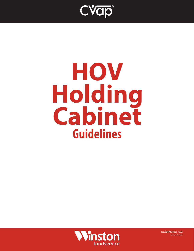

# **HOV Holding Cabinet Guidelines**



doc20200207rbs1 rev01 rs 03-05-2021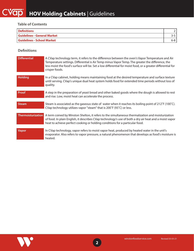#### **Table of Contents**

| Definitions                       |     |
|-----------------------------------|-----|
| Guidelines - General Market       |     |
| <b>Guidelines - School Market</b> | 6-8 |

#### **Definitions**

| <b>Differential</b>       | A CVap technology term, it refers to the difference between the oven's Vapor Temperature and Air<br>Temperature settings. Differential is Air Temp minus Vapor Temp. The greater the difference, the<br>less moist the food's surface will be. Set a low differential for moist food, or a greater differential for<br>crisper foods. |
|---------------------------|---------------------------------------------------------------------------------------------------------------------------------------------------------------------------------------------------------------------------------------------------------------------------------------------------------------------------------------|
| Holding                   | In a CVap cabinet, holding means maintaining food at the desired temperature and surface texture<br>until serving. CVap's unique dual heat system holds food for extended time periods without loss of<br>quality.                                                                                                                    |
| Proof                     | A step in the preparation of yeast bread and other baked goods where the dough is allowed to rest<br>and rise. Low, moist heat can accelerate the process.                                                                                                                                                                            |
| <b>Steam</b>              | Steam is associated as the gaseous state of water when it reaches its boiling point of $212^{\circ}F(100^{\circ}C)$ .<br>CVap technology utilizes vapor "steam" that is 200°F (93°C) or less.                                                                                                                                         |
| <b>Thermoisturization</b> | A term coined by Winston Shelton, it refers to the simultaneous thermalization and moisturization<br>of food. In plain English, it describes CVap technology's use of both a dry air heat and a moist vapor<br>heat to achieve perfect cooking or holding conditions for a particular food.                                           |
| <b>Vapor</b>              | In CVap technology, vapor refers to moist vapor heat, produced by heated water in the unit's<br>evaporator. Also refers to vapor pressure, a natural phenomenon that develops as food's moisture is<br>heated.                                                                                                                        |

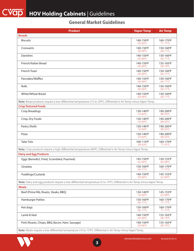### **General Market Guidelines**

| <b>Product</b>                                                                                                              | <b>Vapor Temp</b>         | <b>Air Temp</b>                       |
|-----------------------------------------------------------------------------------------------------------------------------|---------------------------|---------------------------------------|
| <b>Breads</b>                                                                                                               |                           |                                       |
| <b>Biscuits</b>                                                                                                             | 140-150°F<br>60-66°C      | 160-170°F<br>71-77°C                  |
| Croissants                                                                                                                  | 140-150°F<br>60-66°C      | 150-160°F<br>66-71°C                  |
| Danishes                                                                                                                    | 140-150°F<br>60-66°C      | 150-160°F<br>66-71°C                  |
| French/Italian Bread                                                                                                        | 140-150°F<br>$60 - 66$ °C | 155-165°F<br>$68 - 74$ <sup>o</sup> C |
| French Toast                                                                                                                | 140-150°F<br>$60 - 66$ °C | 150-160°F<br>$66 - 71$ <sup>o</sup> C |
| Pancakes/Waffles                                                                                                            | 140-150°F<br>$60 - 66$ °C | 150-160°F<br>66-71°C                  |
| Rolls                                                                                                                       | 140-150°F<br>60-66°C      | 150-160°F<br>66-71°C                  |
| <b>White/Wheat Bread</b>                                                                                                    | 140-150°F<br>$60 - 66$ °C | 150-160°F<br>66-71°C                  |
| Note: Bread products require a low differential temperature (15 to 20°F). Differential is Air Temp minus Vapor Temp.        |                           |                                       |
| <b>Crisp Textured Foods</b>                                                                                                 |                           |                                       |
| <b>Crisp Breadings</b>                                                                                                      | 130-140°F<br>54-60°C      | 190-200°F<br>88-93°C                  |
| Crisp, Dry Foods                                                                                                            | 130-140°F<br>54-60°C      | 190-200°F<br>88-93°C                  |
| Pastry Shells                                                                                                               | 130-140°F<br>54-60°C      | 190-200°F<br>88-93°C                  |
| Pizza                                                                                                                       | 130-140°F<br>54-60°C      | 190-200°F<br>88-93°C                  |
| <b>Tater Tots</b>                                                                                                           | 100-110°F<br>38-43°C      | 160-170°F<br>71-97°C                  |
| Note: Crisp products require a high differential temperature (60°F). Differential is Air Temp minus Vapor Temp.             |                           |                                       |
| <b>Dairy and Egg Products</b>                                                                                               |                           |                                       |
| Eggs (Benedict, Fried, Scrambled, Poached)                                                                                  | 145-150°F<br>$62 - 66$ °C | 150-155°F<br>66-68°C                  |
| Omelets                                                                                                                     | 150-160°F<br>66-71°C      | 160-170°F<br>71-77°C                  |
| Puddings/Custards                                                                                                           | 140-150°F<br>60-66°C      | 145-155°F<br>62-68°C                  |
| Note: Dairy and egg products require a low differential temperature (5 to 15ºF). Differential is Air Temp minus Vapor Temp. |                           |                                       |
| <b>Meats</b>                                                                                                                |                           |                                       |
| Beef (Prime Rib, Roasts, Steaks, BBQ)                                                                                       | 130-140°F<br>54-60°C      | 145-155°F<br>62-68°C                  |
| <b>Hamburger Patties</b>                                                                                                    | 150-160°F<br>66-71°C      | 160-170°F<br>71-77°C                  |
| Hot dogs                                                                                                                    | 150-160°F<br>66-71°C      | 160-170°F<br>71-77°C                  |
| Lamb & Veal                                                                                                                 | 140-150°F<br>60-66°C      | 155-165°F<br>68-74 <sup>o</sup> C     |
| Pork (Roasts, Chops, BBQ, Bacon, Ham, Sausage)                                                                              | 140-150°F<br>$60 - 66$ °C | 155-165°F<br>68-74°C                  |
| Note: Meats require a low differential temperature (10 to 15°F). Differential is Air Temp minus Vapor Temp.                 |                           |                                       |

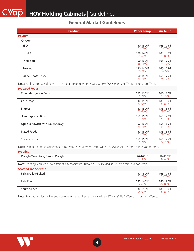#### **General Market Guidelines**

| <b>Product</b>                                                                                                        | <b>Vapor Temp</b>    | <b>Air Temp</b>      |
|-----------------------------------------------------------------------------------------------------------------------|----------------------|----------------------|
| <b>Poultry</b>                                                                                                        |                      |                      |
| Chicken                                                                                                               |                      |                      |
| <b>BBQ</b>                                                                                                            | 150-160°F<br>66-71°C | 165-175°F<br>74-79°C |
| Fried, Crisp                                                                                                          | 130-140°F<br>54-60°C | 180-190°F<br>81-87°C |
| Fried, Soft                                                                                                           | 150-160°F<br>66-71°C | 165-175°F<br>74-79°C |
| Roasted                                                                                                               | 150-160°F<br>66-71°C | 165-175°F<br>74-79°C |
| Turkey, Goose, Duck                                                                                                   | 150-160°F<br>66-71°C | 165-175°F<br>74-79°C |
| Note: Poultry products differential temperature requirements vary widely. Differential is Air Temp minus Vapor Temp.  |                      |                      |
| <b>Prepared Foods</b>                                                                                                 |                      |                      |
| Cheeseburgers in Buns                                                                                                 | 150-160°F<br>66-71°C | 160-170°F<br>71-77°C |
| Corn Dogs                                                                                                             | 140-150°F<br>60-66°C | 180-190°F<br>81-87°C |
| Entrees                                                                                                               | 140-150°F<br>60-66°C | 155-165°F<br>68-74℃  |
| Hamburgers in Buns                                                                                                    | 150-160°F<br>66-71°C | 160-170°F<br>71-77°C |
| Open Sandwich with Sauce/Gravy                                                                                        | 150-160°F<br>66-71°C | 155-165°F<br>68-74°C |
| <b>Plated Foods</b>                                                                                                   | 150-160°F<br>66-71°C | 155-165°F<br>68-74°C |
| Seafood in Sauce                                                                                                      | 150-160°F<br>66-71°C | 165-175°F<br>74-79°C |
| Note: Prepared products differential temperature requirements vary widely. Differential is Air Temp minus Vapor Temp. |                      |                      |
| Proofing                                                                                                              |                      |                      |
| Dough (Yeast Rolls, Danish Dough)                                                                                     | 90-100°F<br>32-38°C  | 90-110°F<br>32-43°C  |
| Note: Proofing requires a low differential temperature (10 to 20°F). Differential is Air Temp minus Vapor Temp.       |                      |                      |
| <b>Seafood and Shellfish</b>                                                                                          |                      |                      |
| Fish, Broiled/Baked                                                                                                   | 150-160°F<br>66-71°C | 165-175°F<br>74-79°C |
| Fish, Fried                                                                                                           | 130-140°F<br>54-60°C | 180-190°F<br>82-88°C |
| Shrimp, Fried                                                                                                         | 130-140°F<br>54-60°C | 180-190°F<br>82-88°C |
| Note: Seafood products differential temperature requirements vary widely. Differential is Air Temp minus Vapor Temp.  |                      |                      |

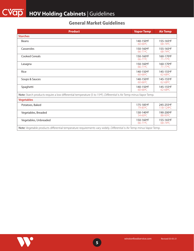#### **General Market Guidelines**

| <b>Product</b>                                                                                                         | <b>Vapor Temp</b>         | <b>Air Temp</b>           |
|------------------------------------------------------------------------------------------------------------------------|---------------------------|---------------------------|
| <b>Starches</b>                                                                                                        |                           |                           |
| <b>Beans</b>                                                                                                           | 140-150°F<br>60-66°C      | 155-165°F<br>$68 - 74$ °C |
| Casseroles                                                                                                             | 150-160°F<br>66-71°C      | 155-165°F<br>$68 - 74$ °C |
| <b>Cooked Cereals</b>                                                                                                  | 150-160°F<br>66-71°C      | 160-170°F<br>71-77°C      |
| Lasagna                                                                                                                | 150-160°F<br>$66 - 71$ °C | 160-170°F<br>$71 - 77$ °C |
| Rice                                                                                                                   | 140-150°F<br>60-66°C      | 145-155°F<br>62-68°C      |
| Soups & Sauces                                                                                                         | 140-150°F<br>60-66°C      | 145-155°F<br>$62 - 68$ °C |
| Spaghetti                                                                                                              | 140-150°F<br>$60 - 66$ °C | 145-155°F<br>$62 - 68$ °C |
| Note: Starch products require a low differential temperature (5 to 15°F). Differential is Air Temp minus Vapor Temp.   |                           |                           |
| <b>Vegetables</b>                                                                                                      |                           |                           |
| Potatoes, Baked                                                                                                        | 175-185°F<br>79-85°C      | 245-255°F<br>118-124°C    |
| Vegetables, Breaded                                                                                                    | 130-140°F<br>54-60°C      | 190-200°F<br>88-93°C      |
| Vegetables, Unbreaded                                                                                                  | 150-160°F<br>$66 - 71$ °C | 155-165°F<br>$68 - 74$ °C |
| Note: Vegetable products differential temperature requirements vary widely. Differential is Air Temp minus Vapor Temp. |                           |                           |

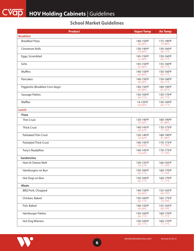#### **School Market Guidelines**

| <b>Product</b>                   | <b>Vapor Temp</b>    | <b>Air Temp</b>      |
|----------------------------------|----------------------|----------------------|
| <b>Breakfast</b>                 |                      |                      |
| <b>Breakfast Pizza</b>           | 140-150°F<br>60-66°C | 175-190°F<br>79-88°C |
| Cinnamon Rolls                   | 130-140°F<br>54-60°C | 150-160°F<br>66-71°C |
| Eggs, Scrambled                  | 145-150°F<br>62-66°C | 150-160°F<br>66-71°C |
| Grits                            | 145-150°F<br>62-66°C | 155-160°F<br>68-71°C |
| Muffins                          | 140-150°F<br>60-66°C | 150-160°F<br>66-71°C |
| Pancakes                         | 140-150°F<br>60-66°C | 150-160°F<br>66-71°C |
| Piggiestix (Breakfast Corn dogs) | 140-150°F<br>60-66°C | 180-190°F<br>81-87°C |
| <b>Sausage Patties</b>           | 150-160°F<br>66-71°C | 150-170°F<br>66-77°C |
| Waffles                          | 14-150°F<br>60-66°C  | 150-160°F<br>66-71°C |
| Lunch                            |                      |                      |
| <b>Pizza</b>                     |                      |                      |
| Thin Crust                       | 130-140°F<br>54-60°C | 180-190°F<br>81-88°C |
| <b>Thick Crust</b>               | 140-145°F<br>60-63°C | 170-175°F<br>77-79°C |
| Parbaked Thin Crust              | 130-140°F<br>54-60°C | 180-190°F<br>81-88°C |
| <b>Parbaked Thick Crust</b>      | 140-145°F<br>60-63°C | 170-175°F<br>77-79°C |
| Tony's ReadyRise                 | 140-145°F<br>54-63°C | 170-175°F<br>77-79°C |
| <b>Sandwiches</b>                |                      |                      |
| Ham & Cheese Melt                | 130-135°F<br>54-57°C | 160-165°F<br>71-74°C |
| Hamburgers on Bun                | 150-160°F<br>66-71°C | 160-170°F<br>71-74°C |
| Hot Dogs on Bun                  | 150-160°F<br>66-71°C | 160-170°F<br>71-77°C |
| <b>Meats</b>                     |                      |                      |
| <b>BBQ Pork, Chopped</b>         | 140-150°F<br>60-66°C | 155-165°F<br>68-74°C |
| Chicken, Baked                   | 150-160°F<br>66-71°C | 165-175°F<br>74-79°C |
| Fish, Baked                      | 140-150°F<br>60-66°C | 155-165°F<br>68-74°C |
| <b>Hamburger Patties</b>         | 150-160°F<br>66-71°C | 160-170°F<br>71-77°C |
| Hot Dog Wieners                  | 150-160°F<br>66-71°C | 160-170°F<br>71-77°C |

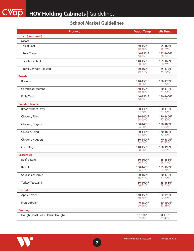### **School Market Guidelines**

| <b>Product</b>                    | <b>Vapor Temp</b>                 | <b>Air Temp</b>      |
|-----------------------------------|-----------------------------------|----------------------|
| <b>Lunch (continued)</b>          |                                   |                      |
| <b>Meats</b>                      |                                   |                      |
| Meat Loaf                         | 140-150°F<br>$60 - 66$ °C         | 155-165°F<br>68-74°C |
| Pork Chops                        | 140-150°F<br>$60 - 66$ °C         | 155-165°F<br>68-74°C |
| Salisbury Steak                   | 140-150°F<br>60-66°C              | 155-165°F<br>68-74°C |
| Turkey, Whole Roasted             | 150-160°F<br>66-71 <sup>o</sup> C | 165-175°F<br>74-79°C |
| <b>Breads</b>                     |                                   |                      |
| <b>Biscuits</b>                   | 140-150°F<br>60-66°C              | 160-170°F<br>71-77°C |
| Cornbread/Muffins                 | 140-150°F<br>60-66°C              | 160-170°F<br>71-77°C |
| Rolls, Yeast                      | 140-150°F<br>60-66°C              | 150-160°F<br>66-71°C |
| <b>Breaded Foods</b>              |                                   |                      |
| <b>Breaded Beef Patty</b>         | 130-140°F<br>54-60°C              | 160-170°F<br>71-77°C |
| Chicken, Fillet                   | 130-140°F<br>54-60°C              | 170-180°F<br>77-82°C |
| Chicken, Fingers                  | 130-140°F<br>54-60°C              | 170-180°F<br>77-82°C |
| Chicken, Fried                    | 130-140°F<br>54-60°C              | 170-180°F<br>77-82°C |
| Chicken, Nuggets                  | 130-140°F<br>54-60°C              | 170-180°F<br>77-82°C |
| Corn Dogs                         | 140-150°F<br>60-66°C              | 180-190°F<br>82-88°C |
| <b>Casseroles</b>                 |                                   |                      |
| Beef-a-Roni                       | 150-160°F<br>66-71°C              | 155-165°F<br>68-74°C |
| Ravioli                           | 150-160°F<br>66-71°C              | 155-165°F<br>68-74°C |
| Squash Casserole                  | 150-160°F<br>66-71°C              | 160-170°F<br>71-77°C |
| Turkey Tetrazzini                 | 150-160°F<br>66-71°C              | 155-165°F<br>68-74°C |
| <b>Dessert</b>                    |                                   |                      |
| Apple Fritter                     | 140-150°F<br>60-66°C              | 180-190°F<br>82-88°C |
| Fruit Cobbler                     | 140-150°F<br>60-66°C              | 180-190°F<br>82-88°C |
| Proofing                          |                                   |                      |
| Dough (Yeast Rolls, Danish Dough) | 90-100°F<br>32-38°C               | 90-110°F<br>32-43°C  |